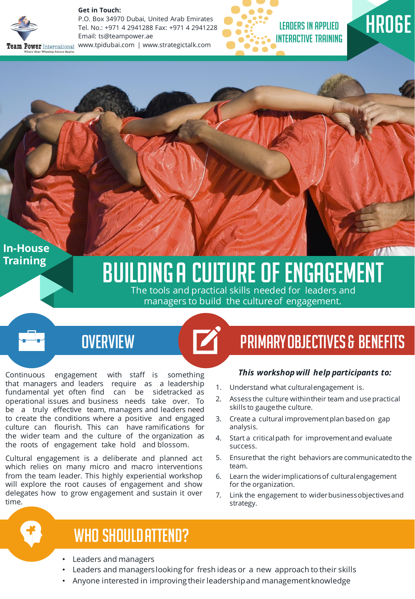

**Get in Touch:** 

P.O. Box 34970 Dubai, United Arab Emirates Tel. No.: +971 4 2941288 Fax: +971 4 2941228 Email: ts@teampower.ae www.tpidubai.com | www.strategictalk.com





**In-House Training**

# **BUILDING A CULTURE OF ENGAGEMENT**

The tools and practical skills needed for leaders and managers to build the culture of engagement.

Continuous engagement with staff is something that managers and leaders require as a leadership fundamental yet often find can be sidetracked as operational issues and business needs take over. To be a truly effective team, managers and leaders need to create the conditions where a positive and engaged culture can flourish. This can have ramifications for the wider team and the culture of the organization as the roots of engagement take hold and blossom.

Cultural engagement is a deliberate and planned act which relies on many micro and macro interventions from the team leader. This highly experiential workshop will explore the root causes of engagement and show delegates how to grow engagement and sustain it over time.

## OVERVIEW **CONFIDENTIES** PRIMARY OBJECTIVES & BENEFITS

#### *This workshopwill help participants to:*

- 1. Understand what culturalengagement is.
- 2. Assess the culture withintheir team and usepractical skills to gaugethe culture.
- 3. Create a cultural improvement plan based on gap analysis.
- 4. Start a criticalpath for improvementand evaluate success.
- 5. Ensurethat the right behaviors are communicatedto the team.
- 6. Learn the widerimplicationsof culturalengagement for the organization.
- 7. Link the engagement to widerbusinessobjectivesand strategy.

### WHO SHOULD ATTEND?

- Leaders and managers
- Leaders and managerslooking for fresh ideas or a new approach to their skills
- Anyone interested in improving their leadershipand managementknowledge